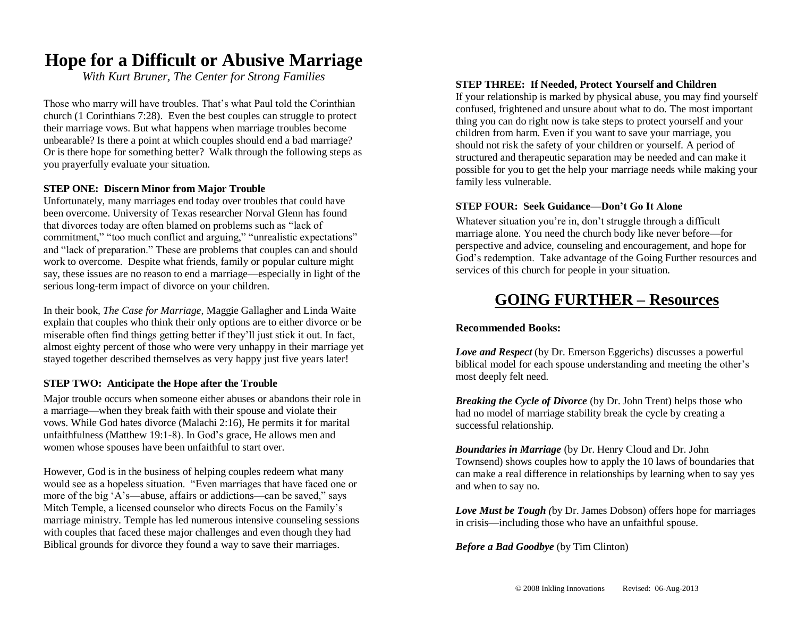## **Hope for a Difficult or Abusive Marriage**

*With Kurt Bruner, The Center for Strong Families*

Those who marry will have troubles. That's what Paul told the Corinthian church (1 Corinthians 7:28). Even the best couples can struggle to protect their marriage vows. But what happens when marriage troubles become unbearable? Is there a point at which couples should end a bad marriage? Or is there hope for something better? Walk through the following steps as you prayerfully evaluate your situation.

#### **STEP ONE: Discern Minor from Major Trouble**

Unfortunately, many marriages end today over troubles that could have been overcome. University of Texas researcher Norval Glenn has found that divorces today are often blamed on problems such as "lack of commitment," "too much conflict and arguing," "unrealistic expectations" and "lack of preparation." These are problems that couples can and should work to overcome. Despite what friends, family or popular culture might say, these issues are no reason to end a marriage—especially in light of the serious long-term impact of divorce on your children.

In their book, *The Case for Marriage*, Maggie Gallagher and Linda Waite explain that couples who think their only options are to either divorce or be miserable often find things getting better if they'll just stick it out. In fact, almost eighty percent of those who were very unhappy in their marriage yet stayed together described themselves as very happy just five years later!

#### **STEP TWO: Anticipate the Hope after the Trouble**

Major trouble occurs when someone either abuses or abandons their role in a marriage—when they break faith with their spouse and violate their vows. While God hates divorce (Malachi 2:16), He permits it for marital unfaithfulness (Matthew 19:1-8). In God's grace, He allows men and women whose spouses have been unfaithful to start over.

However, God is in the business of helping couples redeem what many would see as a hopeless situation. "Even marriages that have faced one or more of the big 'A's—abuse, affairs or addictions—can be saved," says Mitch Temple, a licensed counselor who directs Focus on the Family's marriage ministry. Temple has led numerous intensive counseling sessions with couples that faced these major challenges and even though they had Biblical grounds for divorce they found a way to save their marriages.

#### **STEP THREE: If Needed, Protect Yourself and Children**

If your relationship is marked by physical abuse, you may find yourself confused, frightened and unsure about what to do. The most important thing you can do right now is take steps to protect yourself and your children from harm. Even if you want to save your marriage, you should not risk the safety of your children or yourself. A period of structured and therapeutic separation may be needed and can make it possible for you to get the help your marriage needs while making your family less vulnerable.

#### **STEP FOUR: Seek Guidance***—***Don't Go It Alone**

Whatever situation you're in, don't struggle through a difficult marriage alone. You need the church body like never before—for perspective and advice, counseling and encouragement, and hope for God's redemption. Take advantage of the Going Further resources and services of this church for people in your situation.

### **GOING FURTHER – Resources**

#### **Recommended Books:**

*Love and Respect* (by Dr. Emerson Eggerichs) discusses a powerful biblical model for each spouse understanding and meeting the other's most deeply felt need.

*Breaking the Cycle of Divorce* (by Dr. John Trent) helps those who had no model of marriage stability break the cycle by creating a successful relationship.

*Boundaries in Marriage* (by Dr. Henry Cloud and Dr. John Townsend) shows couples how to apply the 10 laws of boundaries that can make a real difference in relationships by learning when to say yes and when to say no.

*Love Must be Tough (*by Dr. James Dobson) offers hope for marriages in crisis—including those who have an unfaithful spouse.

*Before a Bad Goodbye* (by Tim Clinton)